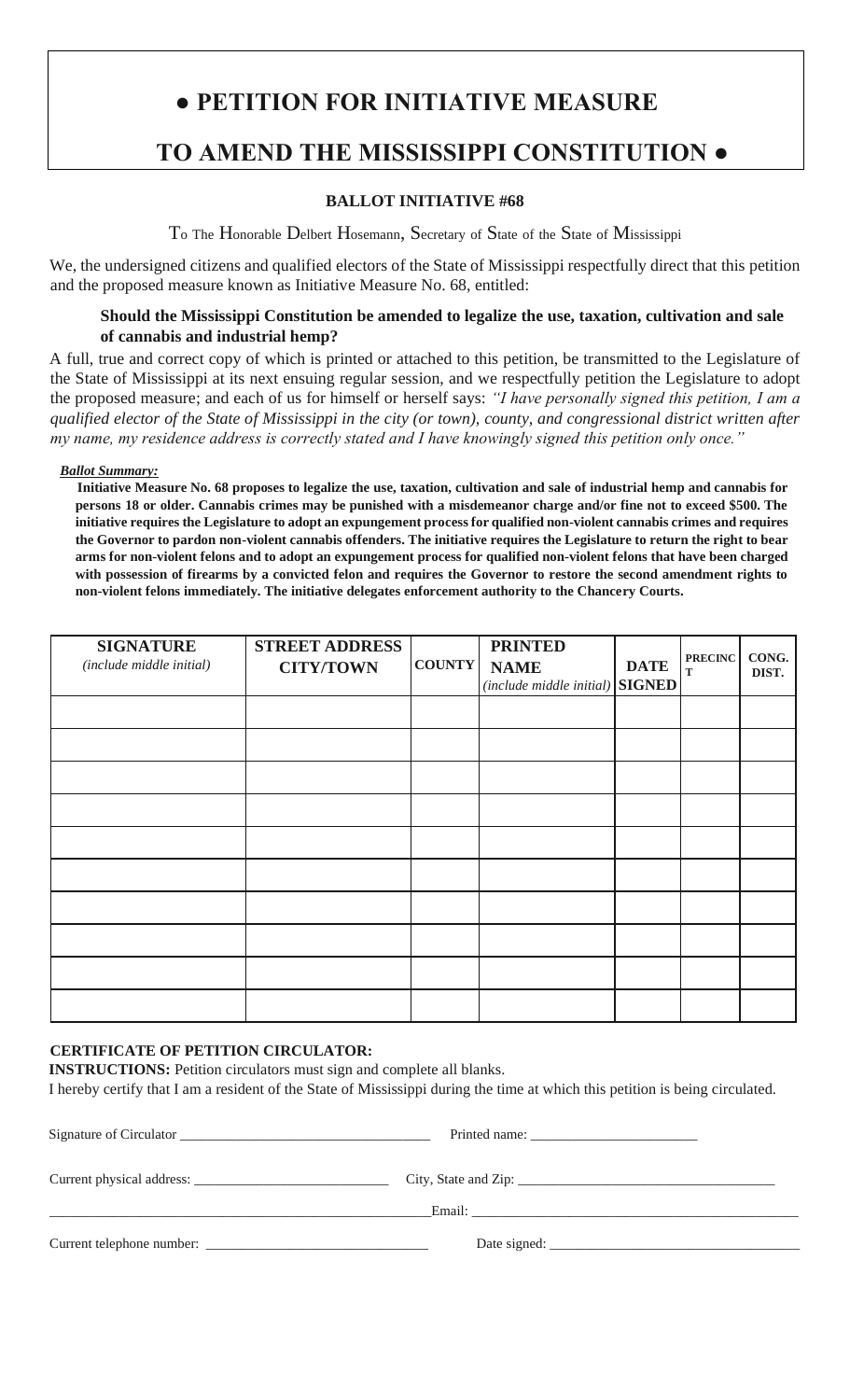# **● PETITION FOR INITIATIVE MEASURE TO AMEND THE MISSISSIPPI CONSTITUTION ●**

## **BALLOT INITIATIVE #68**

To The Honorable Delbert Hosemann, Secretary of State of the State of Mississippi

We, the undersigned citizens and qualified electors of the State of Mississippi respectfully direct that this petition and the proposed measure known as Initiative Measure No. 68, entitled:

## **Should the Mississippi Constitution be amended to legalize the use, taxation, cultivation and sale of cannabis and industrial hemp?**

A full, true and correct copy of which is printed or attached to this petition, be transmitted to the Legislature of the State of Mississippi at its next ensuing regular session, and we respectfully petition the Legislature to adopt the proposed measure; and each of us for himself or herself says: *"I have personally signed this petition, I am a qualified elector of the State of Mississippi in the city (or town), county, and congressional district written after my name, my residence address is correctly stated and I have knowingly signed this petition only once."*

#### *Ballot Summary:*

 **Initiative Measure No. 68 proposes to legalize the use, taxation, cultivation and sale of industrial hemp and cannabis for persons 18 or older. Cannabis crimes may be punished with a misdemeanor charge and/or fine not to exceed \$500. The initiative requires the Legislature to adopt an expungement process for qualified non-violent cannabis crimes and requires the Governor to pardon non-violent cannabis offenders. The initiative requires the Legislature to return the right to bear arms for non-violent felons and to adopt an expungement process for qualified non-violent felons that have been charged with possession of firearms by a convicted felon and requires the Governor to restore the second amendment rights to non-violent felons immediately. The initiative delegates enforcement authority to the Chancery Courts.**

| <b>SIGNATURE</b><br>(include middle initial) | <b>STREET ADDRESS</b><br><b>CITY/TOWN</b> | <b>COUNTY</b> | <b>PRINTED</b><br><b>NAME</b><br>$(include\, middle\, initial)\, \, SIGNED$ | <b>DATE</b> | <b>PRECINC</b><br>$\mathbf T$ | CONG.<br>DIST. |
|----------------------------------------------|-------------------------------------------|---------------|-----------------------------------------------------------------------------|-------------|-------------------------------|----------------|
|                                              |                                           |               |                                                                             |             |                               |                |
|                                              |                                           |               |                                                                             |             |                               |                |
|                                              |                                           |               |                                                                             |             |                               |                |
|                                              |                                           |               |                                                                             |             |                               |                |
|                                              |                                           |               |                                                                             |             |                               |                |
|                                              |                                           |               |                                                                             |             |                               |                |
|                                              |                                           |               |                                                                             |             |                               |                |
|                                              |                                           |               |                                                                             |             |                               |                |
|                                              |                                           |               |                                                                             |             |                               |                |
|                                              |                                           |               |                                                                             |             |                               |                |

## **CERTIFICATE OF PETITION CIRCULATOR:**

**INSTRUCTIONS:** Petition circulators must sign and complete all blanks.

I hereby certify that I am a resident of the State of Mississippi during the time at which this petition is being circulated.

| Signature of Circulator |                                                                                                                                                                                                                                |  |
|-------------------------|--------------------------------------------------------------------------------------------------------------------------------------------------------------------------------------------------------------------------------|--|
|                         | City, State and Zip:                                                                                                                                                                                                           |  |
|                         | Email: Email: Email: Email: Email: Email: Email: Email: Email: Email: Email: Email: Email: Email: Email: Email: Email: Email: Email: Email: Email: Email: Email: Email: Email: Email: Email: Email: Email: Email: Email: Email |  |
|                         | Date signed:                                                                                                                                                                                                                   |  |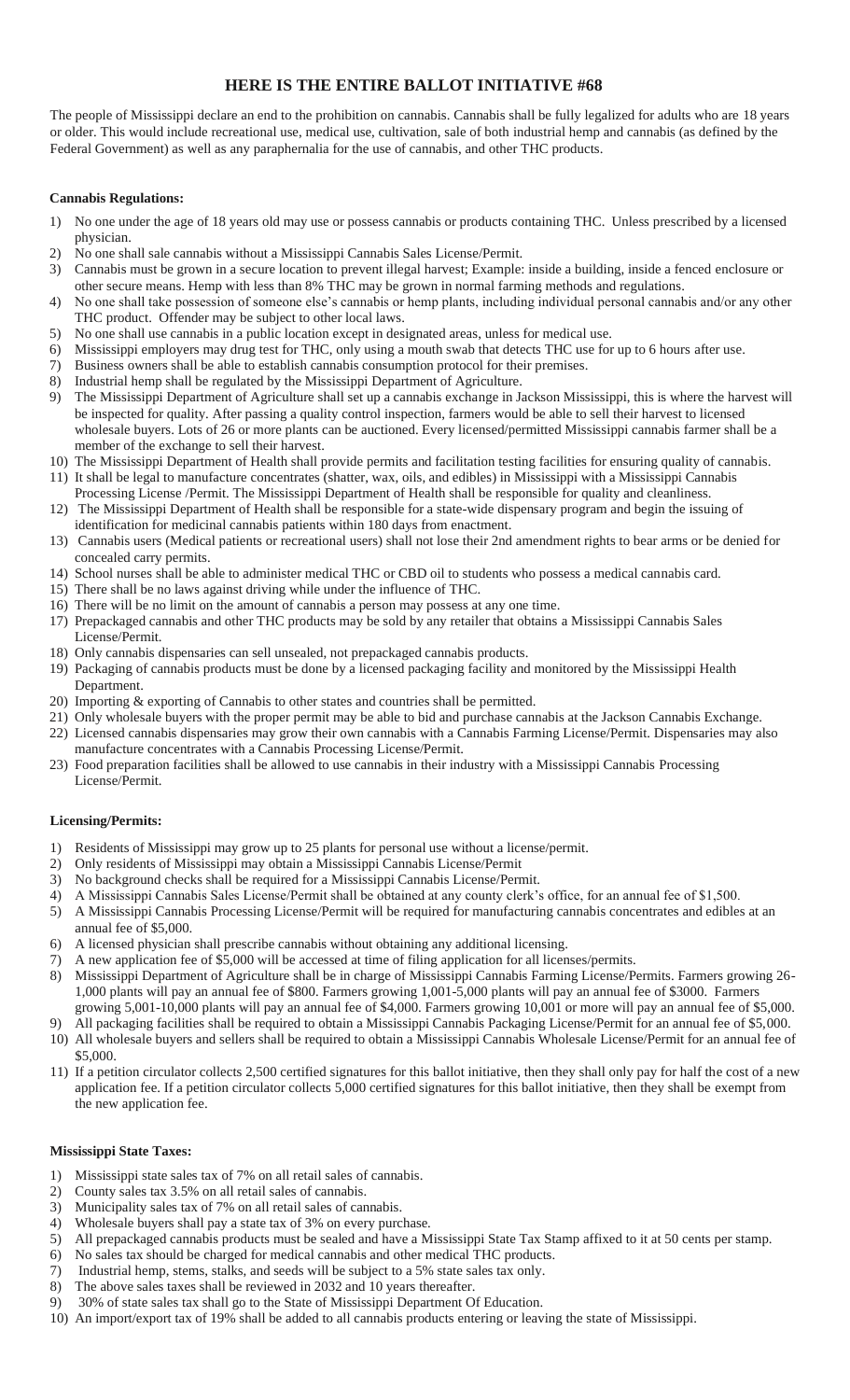## **HERE IS THE ENTIRE BALLOT INITIATIVE #68**

The people of Mississippi declare an end to the prohibition on cannabis. Cannabis shall be fully legalized for adults who are 18 years or older. This would include recreational use, medical use, cultivation, sale of both industrial hemp and cannabis (as defined by the Federal Government) as well as any paraphernalia for the use of cannabis, and other THC products.

#### **Cannabis Regulations:**

- 1) No one under the age of 18 years old may use or possess cannabis or products containing THC. Unless prescribed by a licensed physician.
- 2) No one shall sale cannabis without a Mississippi Cannabis Sales License/Permit.
- 3) Cannabis must be grown in a secure location to prevent illegal harvest; Example: inside a building, inside a fenced enclosure or other secure means. Hemp with less than 8% THC may be grown in normal farming methods and regulations.
- 4) No one shall take possession of someone else's cannabis or hemp plants, including individual personal cannabis and/or any other THC product. Offender may be subject to other local laws.
- 5) No one shall use cannabis in a public location except in designated areas, unless for medical use.
- 6) Mississippi employers may drug test for THC, only using a mouth swab that detects THC use for up to 6 hours after use.
- 7) Business owners shall be able to establish cannabis consumption protocol for their premises.
- 8) Industrial hemp shall be regulated by the Mississippi Department of Agriculture.
- 9) The Mississippi Department of Agriculture shall set up a cannabis exchange in Jackson Mississippi, this is where the harvest will be inspected for quality. After passing a quality control inspection, farmers would be able to sell their harvest to licensed wholesale buyers. Lots of 26 or more plants can be auctioned. Every licensed/permitted Mississippi cannabis farmer shall be a member of the exchange to sell their harvest.
- 10) The Mississippi Department of Health shall provide permits and facilitation testing facilities for ensuring quality of cannabis. 11) It shall be legal to manufacture concentrates (shatter, wax, oils, and edibles) in Mississippi with a Mississippi Cannabis
- Processing License /Permit. The Mississippi Department of Health shall be responsible for quality and cleanliness.
- 12) The Mississippi Department of Health shall be responsible for a state-wide dispensary program and begin the issuing of identification for medicinal cannabis patients within 180 days from enactment.
- 13) Cannabis users (Medical patients or recreational users) shall not lose their 2nd amendment rights to bear arms or be denied for concealed carry permits.
- 14) School nurses shall be able to administer medical THC or CBD oil to students who possess a medical cannabis card.
- 15) There shall be no laws against driving while under the influence of THC.
- 16) There will be no limit on the amount of cannabis a person may possess at any one time.
- 17) Prepackaged cannabis and other THC products may be sold by any retailer that obtains a Mississippi Cannabis Sales License/Permit.
- 18) Only cannabis dispensaries can sell unsealed, not prepackaged cannabis products.
- 19) Packaging of cannabis products must be done by a licensed packaging facility and monitored by the Mississippi Health Department.
- 20) Importing & exporting of Cannabis to other states and countries shall be permitted.
- 21) Only wholesale buyers with the proper permit may be able to bid and purchase cannabis at the Jackson Cannabis Exchange.
- 22) Licensed cannabis dispensaries may grow their own cannabis with a Cannabis Farming License/Permit. Dispensaries may also manufacture concentrates with a Cannabis Processing License/Permit.
- 23) Food preparation facilities shall be allowed to use cannabis in their industry with a Mississippi Cannabis Processing License/Permit.

#### **Licensing/Permits:**

- Residents of Mississippi may grow up to 25 plants for personal use without a license/permit.
- 2) Only residents of Mississippi may obtain a Mississippi Cannabis License/Permit
- 3) No background checks shall be required for a Mississippi Cannabis License/Permit.
- 4) A Mississippi Cannabis Sales License/Permit shall be obtained at any county clerk's office, for an annual fee of \$1,500.
- 5) A Mississippi Cannabis Processing License/Permit will be required for manufacturing cannabis concentrates and edibles at an annual fee of \$5,000.
- 6) A licensed physician shall prescribe cannabis without obtaining any additional licensing.
- 7) A new application fee of \$5,000 will be accessed at time of filing application for all licenses/permits.
- 8) Mississippi Department of Agriculture shall be in charge of Mississippi Cannabis Farming License/Permits. Farmers growing 26- 1,000 plants will pay an annual fee of \$800. Farmers growing 1,001-5,000 plants will pay an annual fee of \$3000. Farmers growing 5,001-10,000 plants will pay an annual fee of \$4,000. Farmers growing 10,001 or more will pay an annual fee of \$5,000.
- 9) All packaging facilities shall be required to obtain a Mississippi Cannabis Packaging License/Permit for an annual fee of \$5,000. 10) All wholesale buyers and sellers shall be required to obtain a Mississippi Cannabis Wholesale License/Permit for an annual fee of \$5,000.
- 11) If a petition circulator collects 2,500 certified signatures for this ballot initiative, then they shall only pay for half the cost of a new application fee. If a petition circulator collects 5,000 certified signatures for this ballot initiative, then they shall be exempt from the new application fee.

#### **Mississippi State Taxes:**

- 1) Mississippi state sales tax of 7% on all retail sales of cannabis.
- 2) County sales tax 3.5% on all retail sales of cannabis.
- 3) Municipality sales tax of 7% on all retail sales of cannabis.
- 4) Wholesale buyers shall pay a state tax of 3% on every purchase.
- 5) All prepackaged cannabis products must be sealed and have a Mississippi State Tax Stamp affixed to it at 50 cents per stamp.
- 6) No sales tax should be charged for medical cannabis and other medical THC products.
- 7) Industrial hemp, stems, stalks, and seeds will be subject to a 5% state sales tax only.
- 8) The above sales taxes shall be reviewed in 2032 and 10 years thereafter.
- 9) 30% of state sales tax shall go to the State of Mississippi Department Of Education.
- 10) An import/export tax of 19% shall be added to all cannabis products entering or leaving the state of Mississippi.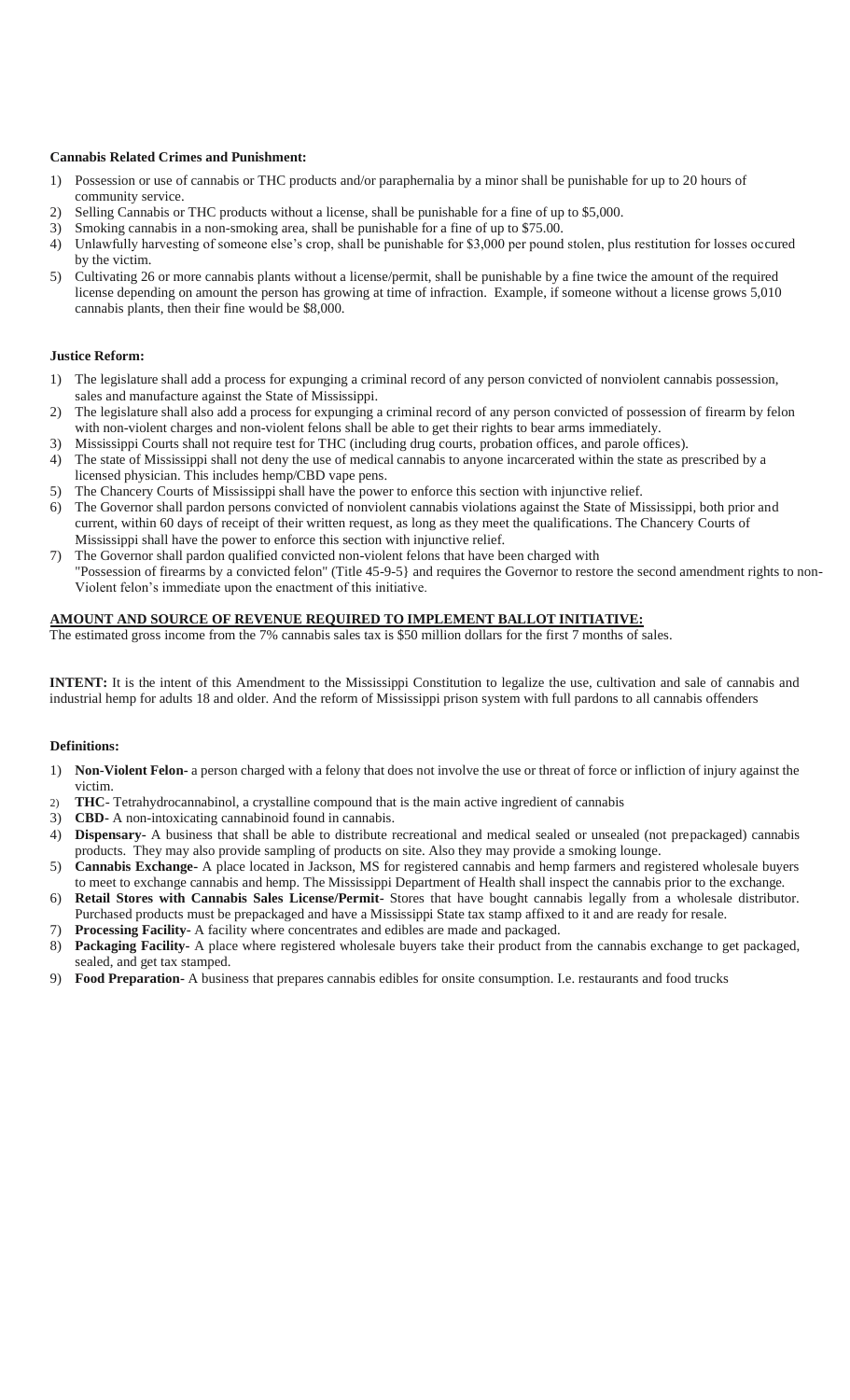#### **Cannabis Related Crimes and Punishment:**

- 1) Possession or use of cannabis or THC products and/or paraphernalia by a minor shall be punishable for up to 20 hours of community service.
- 2) Selling Cannabis or THC products without a license, shall be punishable for a fine of up to \$5,000.
- 3) Smoking cannabis in a non-smoking area, shall be punishable for a fine of up to \$75.00.
- 4) Unlawfully harvesting of someone else's crop, shall be punishable for \$3,000 per pound stolen, plus restitution for losses occured by the victim.
- 5) Cultivating 26 or more cannabis plants without a license/permit, shall be punishable by a fine twice the amount of the required license depending on amount the person has growing at time of infraction. Example, if someone without a license grows 5,010 cannabis plants, then their fine would be \$8,000.

#### **Justice Reform:**

- 1) The legislature shall add a process for expunging a criminal record of any person convicted of nonviolent cannabis possession, sales and manufacture against the State of Mississippi.
- 2) The legislature shall also add a process for expunging a criminal record of any person convicted of possession of firearm by felon with non-violent charges and non-violent felons shall be able to get their rights to bear arms immediately.
- 3) Mississippi Courts shall not require test for THC (including drug courts, probation offices, and parole offices).
- 4) The state of Mississippi shall not deny the use of medical cannabis to anyone incarcerated within the state as prescribed by a licensed physician. This includes hemp/CBD vape pens.
- 5) The Chancery Courts of Mississippi shall have the power to enforce this section with injunctive relief.
- 6) The Governor shall pardon persons convicted of nonviolent cannabis violations against the State of Mississippi, both prior and current, within 60 days of receipt of their written request, as long as they meet the qualifications. The Chancery Courts of Mississippi shall have the power to enforce this section with injunctive relief.
- 7) The Governor shall pardon qualified convicted non-violent felons that have been charged with "Possession of firearms by a convicted felon" (Title 45-9-5} and requires the Governor to restore the second amendment rights to non- Violent felon's immediate upon the enactment of this initiative.

#### **AMOUNT AND SOURCE OF REVENUE REQUIRED TO IMPLEMENT BALLOT INITIATIVE:**

The estimated gross income from the 7% cannabis sales tax is \$50 million dollars for the first 7 months of sales.

**INTENT:** It is the intent of this Amendment to the Mississippi Constitution to legalize the use, cultivation and sale of cannabis and industrial hemp for adults 18 and older. And the reform of Mississippi prison system with full pardons to all cannabis offenders

#### **Definitions:**

- 1) **Non-Violent Felon-** a person charged with a felony that does not involve the use or threat of force or infliction of injury against the victim.
- 2) **THC** Tetrahydrocannabinol, a crystalline compound that is the main active ingredient of cannabis
- 3) **CBD-** A non-intoxicating cannabinoid found in cannabis.
- 4) **Dispensary-** A business that shall be able to distribute recreational and medical sealed or unsealed (not prepackaged) cannabis products. They may also provide sampling of products on site. Also they may provide a smoking lounge.
- 5) **Cannabis Exchange-** A place located in Jackson, MS for registered cannabis and hemp farmers and registered wholesale buyers to meet to exchange cannabis and hemp. The Mississippi Department of Health shall inspect the cannabis prior to the exchange.
- 6) **Retail Stores with Cannabis Sales License/Permit-** Stores that have bought cannabis legally from a wholesale distributor. Purchased products must be prepackaged and have a Mississippi State tax stamp affixed to it and are ready for resale.
- 7) **Processing Facility-** A facility where concentrates and edibles are made and packaged.
- 8) **Packaging Facility-** A place where registered wholesale buyers take their product from the cannabis exchange to get packaged, sealed, and get tax stamped.
- 9) **Food Preparation-** A business that prepares cannabis edibles for onsite consumption. I.e. restaurants and food trucks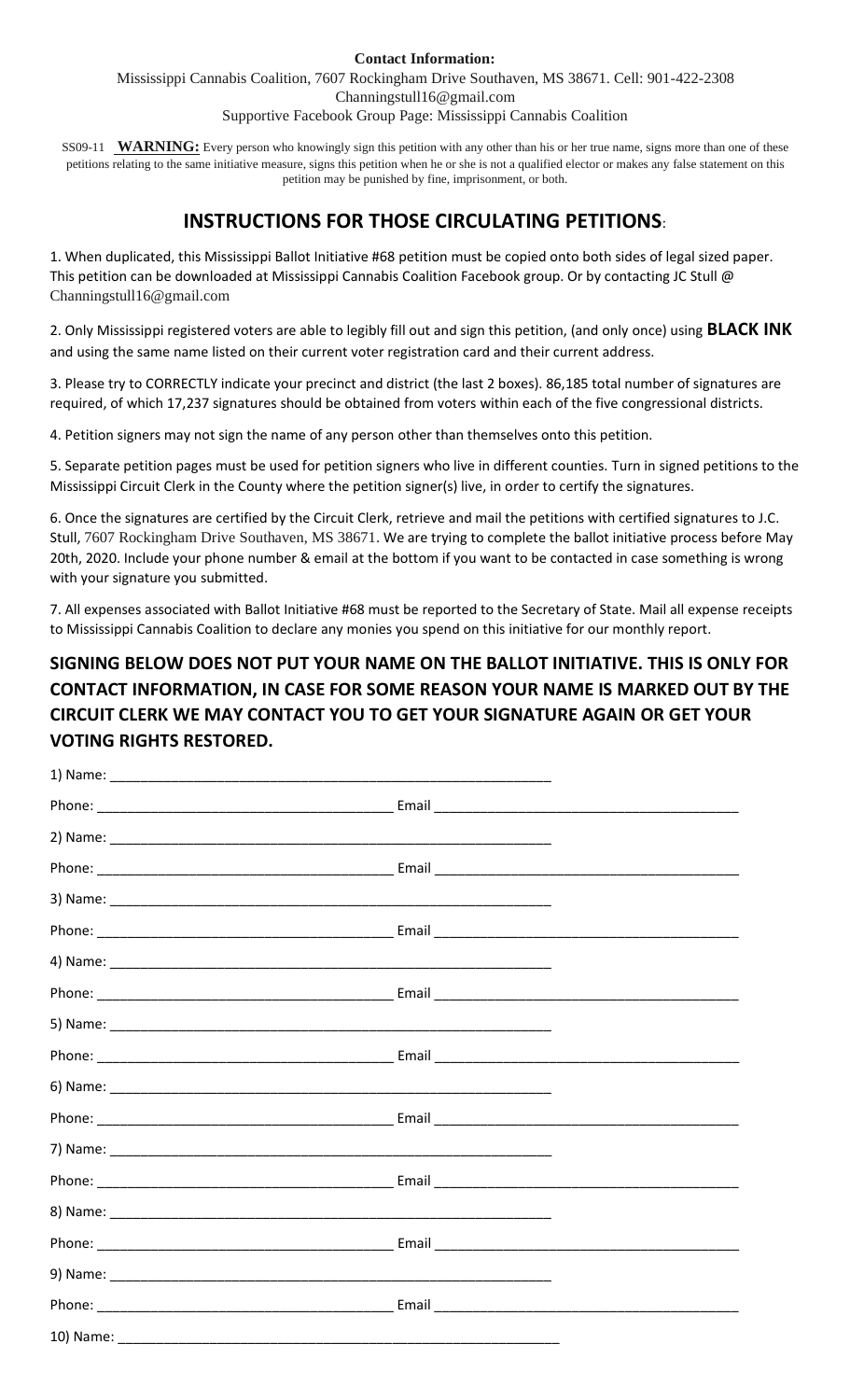#### **Contact Information:**

Mississippi Cannabis Coalition, 7607 Rockingham Drive Southaven, MS 38671. Cell: 901-422-2308 Channingstull16@gmail.com

Supportive Facebook Group Page: Mississippi Cannabis Coalition

SS09-11 **WARNING:** Every person who knowingly sign this petition with any other than his or her true name, signs more than one of these petitions relating to the same initiative measure, signs this petition when he or she is not a qualified elector or makes any false statement on this petition may be punished by fine, imprisonment, or both.

# **INSTRUCTIONS FOR THOSE CIRCULATING PETITIONS**:

1. When duplicated, this Mississippi Ballot Initiative #68 petition must be copied onto both sides of legal sized paper. This petition can be downloaded at Mississippi Cannabis Coalition Facebook group. Or by contacting JC Stull @ Channingstull16@gmail.com

2. Only Mississippi registered voters are able to legibly fill out and sign this petition, (and only once) using **BLACK INK**  and using the same name listed on their current voter registration card and their current address.

3. Please try to CORRECTLY indicate your precinct and district (the last 2 boxes). 86,185 total number of signatures are required, of which 17,237 signatures should be obtained from voters within each of the five congressional districts.

4. Petition signers may not sign the name of any person other than themselves onto this petition.

5. Separate petition pages must be used for petition signers who live in different counties. Turn in signed petitions to the Mississippi Circuit Clerk in the County where the petition signer(s) live, in order to certify the signatures.

6. Once the signatures are certified by the Circuit Clerk, retrieve and mail the petitions with certified signatures to J.C. Stull, 7607 Rockingham Drive Southaven, MS 38671. We are trying to complete the ballot initiative process before May 20th, 2020. Include your phone number & email at the bottom if you want to be contacted in case something is wrong with your signature you submitted.

7. All expenses associated with Ballot Initiative #68 must be reported to the Secretary of State. Mail all expense receipts to Mississippi Cannabis Coalition to declare any monies you spend on this initiative for our monthly report.

# **SIGNING BELOW DOES NOT PUT YOUR NAME ON THE BALLOT INITIATIVE. THIS IS ONLY FOR CONTACT INFORMATION, IN CASE FOR SOME REASON YOUR NAME IS MARKED OUT BY THE CIRCUIT CLERK WE MAY CONTACT YOU TO GET YOUR SIGNATURE AGAIN OR GET YOUR VOTING RIGHTS RESTORED.**